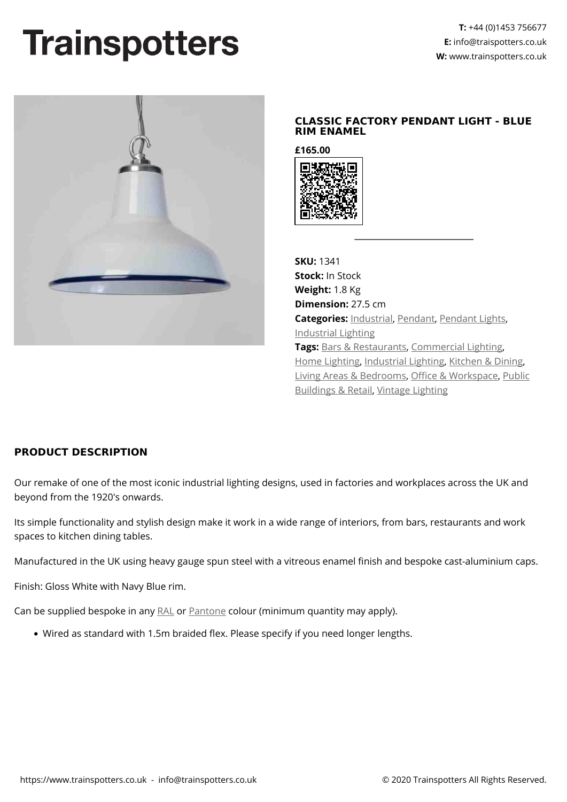## **Trainspotters**



## **CLASSIC FACTORY PENDANT LIGHT - BLUE RIM ENAMEL**

**£165.00**



**SKU:** 1341 **Stock:** In Stock **Weight:** 1.8 Kg **Dimension:** 27.5 cm **Categories:** [Industrial](https://www.trainspotters.co.uk/industrial/), [Pendant,](https://www.trainspotters.co.uk/pendant-lights/) [Pendant Lights](https://www.trainspotters.co.uk/pendant-lights/), [Industrial Lighting](https://www.trainspotters.co.uk/industrial/) **Tags:** [Bars & Restaurants,](https://www.trainspotters.co.uk/bars-restaurants/) [Commercial Lighting,](https://www.trainspotters.co.uk/commercial-lighting/) [Home Lighting,](https://www.trainspotters.co.uk/home-lighting/) [Industrial Lighting,](https://www.trainspotters.co.uk/industrial/) [Kitchen & Dining](https://www.trainspotters.co.uk/kitchen-dining/), [Living Areas & Bedrooms,](https://www.trainspotters.co.uk/living-areas-bedrooms/) [Office & Workspace](https://www.trainspotters.co.uk/office-workspace/), [Public](https://www.trainspotters.co.uk/public-buildings-retail/) [Buildings & Retail,](https://www.trainspotters.co.uk/public-buildings-retail/) [Vintage Lighting](https://www.trainspotters.co.uk/vintage-reclaimed/)

## **PRODUCT DESCRIPTION**

Our remake of one of the most iconic industrial lighting designs, used in factories and workplaces across the UK and beyond from the 1920's onwards.

Its simple functionality and stylish design make it work in a wide range of interiors, from bars, restaurants and work spaces to kitchen dining tables.

Manufactured in the UK using heavy gauge spun steel with a vitreous enamel finish and bespoke cast-aluminium caps.

Finish: Gloss White with Navy Blue rim.

Can be supplied bespoke in any [RAL](https://www.ralcolor.com/) or [Pantone](https://www.pantone.com/color-finder) colour (minimum quantity may apply).

Wired as standard with 1.5m braided flex. Please specify if you need longer lengths.